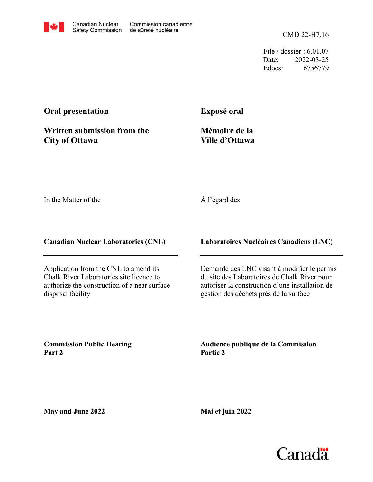CMD 22-H7.16

File / dossier : 6.01.07 Date: 2022-03-25 Edocs: 6756779

## **Oral presentation**

**Exposé oral**

**Written submission from the City of Ottawa**

**Mémoire de la Ville d'Ottawa**

In the Matter of the

## À l'égard des

**Canadian Nuclear Laboratories (CNL)**

Application from the CNL to amend its Chalk River Laboratories site licence to authorize the construction of a near surface disposal facility

**Laboratoires Nucléaires Canadiens (LNC)**

Demande des LNC visant à modifier le permis du site des Laboratoires de Chalk River pour autoriser la construction d'une installation de gestion des déchets près de la surface

**Commission Public Hearing Part 2**

**Audience publique de la Commission Partie 2**

**May and June 2022**

**Mai et juin 2022**

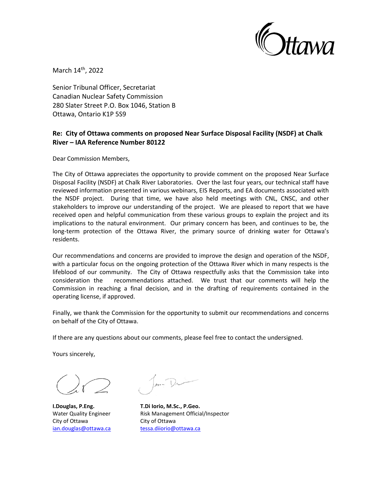

March 14<sup>th</sup>, 2022

Senior Tribunal Officer, Secretariat Canadian Nuclear Safety Commission 280 Slater Street P.O. Box 1046, Station B Ottawa, Ontario K1P 5S9

## **Re: City of Ottawa comments on proposed Near Surface Disposal Facility (NSDF) at Chalk River – IAA Reference Number 80122**

Dear Commission Members,

The City of Ottawa appreciates the opportunity to provide comment on the proposed Near Surface Disposal Facility (NSDF) at Chalk River Laboratories. Over the last four years, our technical staff have reviewed information presented in various webinars, EIS Reports, and EA documents associated with the NSDF project. During that time, we have also held meetings with CNL, CNSC, and other stakeholders to improve our understanding of the project. We are pleased to report that we have received open and helpful communication from these various groups to explain the project and its implications to the natural environment. Our primary concern has been, and continues to be, the long-term protection of the Ottawa River, the primary source of drinking water for Ottawa's residents.

Our recommendations and concerns are provided to improve the design and operation of the NSDF, with a particular focus on the ongoing protection of the Ottawa River which in many respects is the lifeblood of our community. The City of Ottawa respectfully asks that the Commission take into consideration the recommendations attached. We trust that our comments will help the Commission in reaching a final decision, and in the drafting of requirements contained in the operating license, if approved.

Finally, we thank the Commission for the opportunity to submit our recommendations and concerns on behalf of the City of Ottawa.

If there are any questions about our comments, please feel free to contact the undersigned.

Yours sincerely,

City of Ottawa City of Ottawa

**I.Douglas, P.Eng. T.Di Iorio, M.Sc., P.Geo.** Water Quality Engineer Risk Management Official/Inspector [ian.douglas@ottawa.ca](mailto:ian.douglas@ottawa.ca) [tessa.diiorio@ottawa.ca](mailto:tessa.diiorio@ottawa.ca)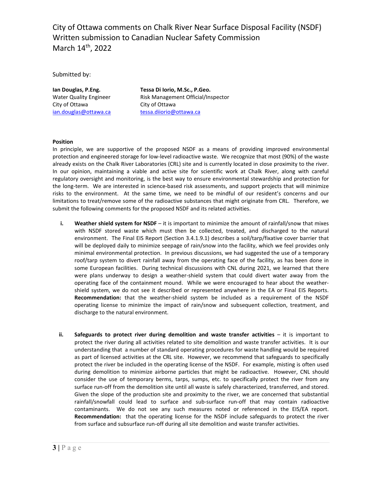City of Ottawa comments on Chalk River Near Surface Disposal Facility (NSDF) Written submission to Canadian Nuclear Safety Commission March 14<sup>th</sup>, 2022

Submitted by:

City of Ottawa City of Ottawa

**Ian Douglas, P.Eng. Tessa Di Iorio, M.Sc., P.Geo.** Water Quality Engineer Risk Management Official/Inspector [ian.douglas@ottawa.ca](mailto:ian.douglas@ottawa.ca) tessa.diiorio@ottawa.ca

## **Position**

In principle, we are supportive of the proposed NSDF as a means of providing improved environmental protection and engineered storage for low-level radioactive waste. We recognize that most (90%) of the waste already exists on the Chalk River Laboratories (CRL) site and is currently located in close proximity to the river. In our opinion, maintaining a viable and active site for scientific work at Chalk River, along with careful regulatory oversight and monitoring, is the best way to ensure environmental stewardship and protection for the long-term. We are interested in science-based risk assessments, and support projects that will minimize risks to the environment. At the same time, we need to be mindful of our resident's concerns and our limitations to treat/remove some of the radioactive substances that might originate from CRL. Therefore, we submit the following comments for the proposed NSDF and its related activities.

- **i. Weather shield system for NSDF**  it is important to minimize the amount of rainfall/snow that mixes with NSDF stored waste which must then be collected, treated, and discharged to the natural environment. The Final EIS Report (Section 3.4.1.9.1) describes a soil/tarp/fixative cover barrier that will be deployed daily to minimize seepage of rain/snow into the facility, which we feel provides only minimal environmental protection. In previous discussions, we had suggested the use of a temporary roof/tarp system to divert rainfall away from the operating face of the facility, as has been done in some European facilities. During technical discussions with CNL during 2021, we learned that there were plans underway to design a weather-shield system that could divert water away from the operating face of the containment mound. While we were encouraged to hear about the weathershield system, we do not see it described or represented anywhere in the EA or Final EIS Reports. **Recommendation:** that the weather-shield system be included as a requirement of the NSDF operating license to minimize the impact of rain/snow and subsequent collection, treatment, and discharge to the natural environment.
- **ii. Safeguards to protect river during demolition and waste transfer activities** it is important to protect the river during all activities related to site demolition and waste transfer activities. It is our understanding that a number of standard operating procedures for waste handling would be required as part of licensed activities at the CRL site. However, we recommend that safeguards to specifically protect the river be included in the operating license of the NSDF. For example, misting is often used during demolition to minimize airborne particles that might be radioactive. However, CNL should consider the use of temporary berms, tarps, sumps, etc. to specifically protect the river from any surface run-off from the demolition site until all waste is safely characterized, transferred, and stored. Given the slope of the production site and proximity to the river, we are concerned that substantial rainfall/snowfall could lead to surface and sub-surface run-off that may contain radioactive contaminants. We do not see any such measures noted or referenced in the EIS/EA report. **Recommendation:** that the operating license for the NSDF include safeguards to protect the river from surface and subsurface run-off during all site demolition and waste transfer activities.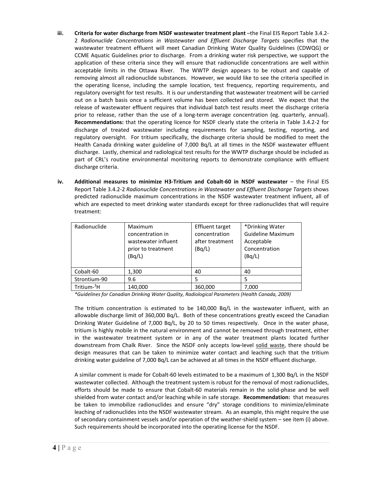- **iii. Criteria for water discharge from NSDF wastewater treatment plant** –the Final EIS Report Table 3.4.2- 2 *Radionuclide Concentrations in Wastewater and Effluent Discharge Targets* specifies that the wastewater treatment effluent will meet Canadian Drinking Water Quality Guidelines (CDWQG) or CCME Aquatic Guidelines prior to discharge. From a drinking water risk perspective, we support the application of these criteria since they will ensure that radionuclide concentrations are well within acceptable limits in the Ottawa River. The WWTP design appears to be robust and capable of removing almost all radionuclide substances. However, we would like to see the criteria specified in the operating license, including the sample location, test frequency, reporting requirements, and regulatory oversight for test results. It is our understanding that wastewater treatment will be carried out on a batch basis once a sufficient volume has been collected and stored. We expect that the release of wastewater effluent requires that individual batch test results meet the discharge criteria prior to release, rather than the use of a long-term average concentration (eg. quarterly, annual). **Recommendations:** that the operating licence for NSDF clearly state the criteria in Table 3.4.2-2 for discharge of treated wastewater including requirements for sampling, testing, reporting, and regulatory oversight. For tritium specifically, the discharge criteria should be modified to meet the Health Canada drinking water guideline of 7,000 Bq/L at all times in the NSDF wastewater effluent discharge. Lastly, chemical and radiological test results for the WWTP discharge should be included as part of CRL's routine environmental monitoring reports to demonstrate compliance with effluent discharge criteria.
- **iv. Additional measures to minimize H3-Tritium and Cobalt-60 in NSDF wastewater** the Final EIS Report Table 3.4.2-2 *Radionuclide Concentrations in Wastewater and Effluent Discharge Targets* shows predicted radionuclide maximum concentrations in the NSDF wastewater treatment influent, all of which are expected to meet drinking water standards except for three radionuclides that will require treatment:

| Radionuclide            | Maximum<br>concentration in<br>wastewater influent<br>prior to treatment<br>(Bq/L) | <b>Effluent target</b><br>concentration<br>after treatment<br>(Bq/L) | *Drinking Water<br><b>Guideline Maximum</b><br>Acceptable<br>Concentration<br>(Bq/L) |
|-------------------------|------------------------------------------------------------------------------------|----------------------------------------------------------------------|--------------------------------------------------------------------------------------|
| Cobalt-60               | 1,300                                                                              | 40                                                                   | 40                                                                                   |
| Strontium-90            | 9.6                                                                                | 5                                                                    |                                                                                      |
| Tritium- <sup>3</sup> H | 140,000                                                                            | 360,000                                                              | 7,000                                                                                |

*\*Guidelines for Canadian Drinking Water Quality, Radiological Parameters (Health Canada, 2009)*

The tritium concentration is estimated to be  $140,000$  Bq/L in the wastewater influent, with an allowable discharge limit of 360,000 Bq/L. Both of these concentrations greatly exceed the Canadian Drinking Water Guideline of 7,000 Bq/L, by 20 to 50 times respectively. Once in the water phase, tritium is highly mobile in the natural environment and cannot be removed through treatment, either in the wastewater treatment system or in any of the water treatment plants located further downstream from Chalk River. Since the NSDF only accepts low-level solid waste, there should be design measures that can be taken to minimize water contact and leaching such that the tritium drinking water guideline of 7,000 Bq/L can be achieved at all times in the NSDF effluent discharge.

A similar comment is made for Cobalt-60 levels estimated to be a maximum of 1,300 Bq/L in the NSDF wastewater collected. Although the treatment system is robust for the removal of most radionuclides, efforts should be made to ensure that Cobalt-60 materials remain in the solid-phase and be well shielded from water contact and/or leaching while in safe storage. **Recommendation:** that measures be taken to immobilize radionuclides and ensure "dry" storage conditions to minimize/eliminate leaching of radionuclides into the NSDF wastewater stream. As an example, this might require the use of secondary containment vessels and/or operation of the weather-shield system – see item (i) above. Such requirements should be incorporated into the operating license for the NSDF.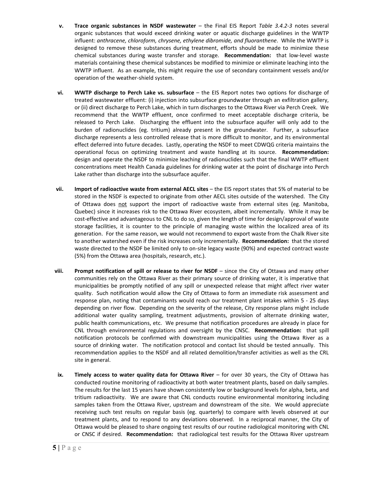- **v. Trace organic substances in NSDF wastewater** the Final EIS Report *Table 3.4.2-3* notes several organic substances that would exceed drinking water or aquatic discharge guidelines in the WWTP influent: *anthracene, chloroform, chrysene, ethylene dibromide, and fluoranthene*. While the WWTP is designed to remove these substances during treatment, efforts should be made to minimize these chemical substances during waste transfer and storage. **Recommendation:** that low-level waste materials containing these chemical substances be modified to minimize or eliminate leaching into the WWTP influent. As an example, this might require the use of secondary containment vessels and/or operation of the weather-shield system.
- **vi. WWTP discharge to Perch Lake vs. subsurface** the EIS Report notes two options for discharge of treated wastewater effluent: (i) injection into subsurface groundwater through an exfiltration gallery, or (ii) direct discharge to Perch Lake, which in turn discharges to the Ottawa River via Perch Creek. We recommend that the WWTP effluent, once confirmed to meet acceptable discharge criteria, be released to Perch Lake. Discharging the effluent into the subsurface aquifer will only add to the burden of radionuclides (eg. tritium) already present in the groundwater. Further, a subsurface discharge represents a less controlled release that is more difficult to monitor, and its environmental effect deferred into future decades. Lastly, operating the NSDF to meet CDWQG criteria maintains the operational focus on optimizing treatment and waste handling at its source. **Recommendation:** design and operate the NSDF to minimize leaching of radionuclides such that the final WWTP effluent concentrations meet Health Canada guidelines for drinking water at the point of discharge into Perch Lake rather than discharge into the subsurface aquifer.
- **vii. Import of radioactive waste from external AECL sites** the EIS report states that 5% of material to be stored in the NSDF is expected to originate from other AECL sites outside of the watershed. The City of Ottawa does not support the import of radioactive waste from external sites (eg. Manitoba, Quebec) since it increases risk to the Ottawa River ecosystem, albeit incrementally. While it may be cost-effective and advantageous to CNL to do so, given the length of time for design/approval of waste storage facilities, it is counter to the principle of managing waste within the localized area of its generation. For the same reason, we would not recommend to export waste from the Chalk River site to another watershed even if the risk increases only incrementally. **Recommendation:** that the stored waste directed to the NSDF be limited only to on-site legacy waste (90%) and expected contract waste (5%) from the Ottawa area (hospitals, research, etc.).
- **viii. Prompt notification of spill or release to river for NSDF** since the City of Ottawa and many other communities rely on the Ottawa River as their primary source of drinking water, it is imperative that municipalities be promptly notified of any spill or unexpected release that might affect river water quality. Such notification would allow the City of Ottawa to form an immediate risk assessment and response plan, noting that contaminants would reach our treatment plant intakes within 5 - 25 days depending on river flow. Depending on the severity of the release, City response plans might include additional water quality sampling, treatment adjustments, provision of alternate drinking water, public health communications, etc. We presume that notification procedures are already in place for CNL through environmental regulations and oversight by the CNSC. **Recommendation:** that spill notification protocols be confirmed with downstream municipalities using the Ottawa River as a source of drinking water. The notification protocol and contact list should be tested annually. This recommendation applies to the NSDF and all related demolition/transfer activities as well as the CRL site in general.
- **ix. Timely access to water quality data for Ottawa River** for over 30 years, the City of Ottawa has conducted routine monitoring of radioactivity at both water treatment plants, based on daily samples. The results for the last 15 years have shown consistently low or background levels for alpha, beta, and tritium radioactivity. We are aware that CNL conducts routine environmental monitoring including samples taken from the Ottawa River, upstream and downstream of the site. We would appreciate receiving such test results on regular basis (eg. quarterly) to compare with levels observed at our treatment plants, and to respond to any deviations observed. In a reciprocal manner, the City of Ottawa would be pleased to share ongoing test results of our routine radiological monitoring with CNL or CNSC if desired. **Recommendation:** that radiological test results for the Ottawa River upstream